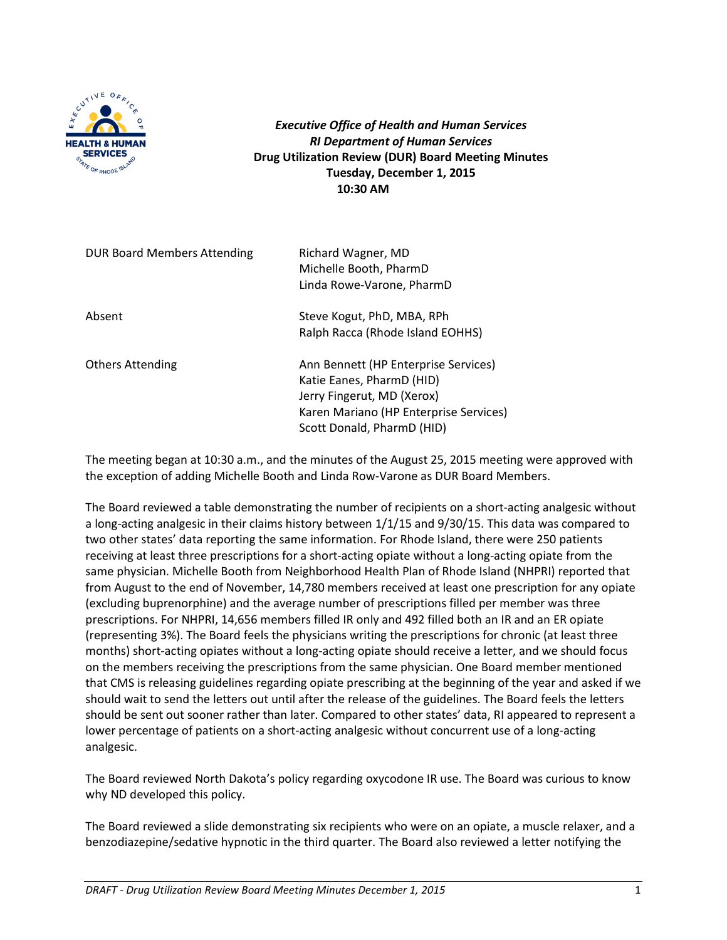

*Executive Office of Health and Human Services RI Department of Human Services* **Drug Utilization Review (DUR) Board Meeting Minutes Tuesday, December 1, 2015 10:30 AM**

| <b>DUR Board Members Attending</b> | Richard Wagner, MD<br>Michelle Booth, PharmD<br>Linda Rowe-Varone, PharmD                                                                                               |  |
|------------------------------------|-------------------------------------------------------------------------------------------------------------------------------------------------------------------------|--|
| Absent                             | Steve Kogut, PhD, MBA, RPh<br>Ralph Racca (Rhode Island EOHHS)                                                                                                          |  |
| <b>Others Attending</b>            | Ann Bennett (HP Enterprise Services)<br>Katie Eanes, PharmD (HID)<br>Jerry Fingerut, MD (Xerox)<br>Karen Mariano (HP Enterprise Services)<br>Scott Donald, PharmD (HID) |  |

The meeting began at 10:30 a.m., and the minutes of the August 25, 2015 meeting were approved with the exception of adding Michelle Booth and Linda Row-Varone as DUR Board Members.

The Board reviewed a table demonstrating the number of recipients on a short-acting analgesic without a long-acting analgesic in their claims history between 1/1/15 and 9/30/15. This data was compared to two other states' data reporting the same information. For Rhode Island, there were 250 patients receiving at least three prescriptions for a short-acting opiate without a long-acting opiate from the same physician. Michelle Booth from Neighborhood Health Plan of Rhode Island (NHPRI) reported that from August to the end of November, 14,780 members received at least one prescription for any opiate (excluding buprenorphine) and the average number of prescriptions filled per member was three prescriptions. For NHPRI, 14,656 members filled IR only and 492 filled both an IR and an ER opiate (representing 3%). The Board feels the physicians writing the prescriptions for chronic (at least three months) short-acting opiates without a long-acting opiate should receive a letter, and we should focus on the members receiving the prescriptions from the same physician. One Board member mentioned that CMS is releasing guidelines regarding opiate prescribing at the beginning of the year and asked if we should wait to send the letters out until after the release of the guidelines. The Board feels the letters should be sent out sooner rather than later. Compared to other states' data, RI appeared to represent a lower percentage of patients on a short-acting analgesic without concurrent use of a long-acting analgesic.

The Board reviewed North Dakota's policy regarding oxycodone IR use. The Board was curious to know why ND developed this policy.

The Board reviewed a slide demonstrating six recipients who were on an opiate, a muscle relaxer, and a benzodiazepine/sedative hypnotic in the third quarter. The Board also reviewed a letter notifying the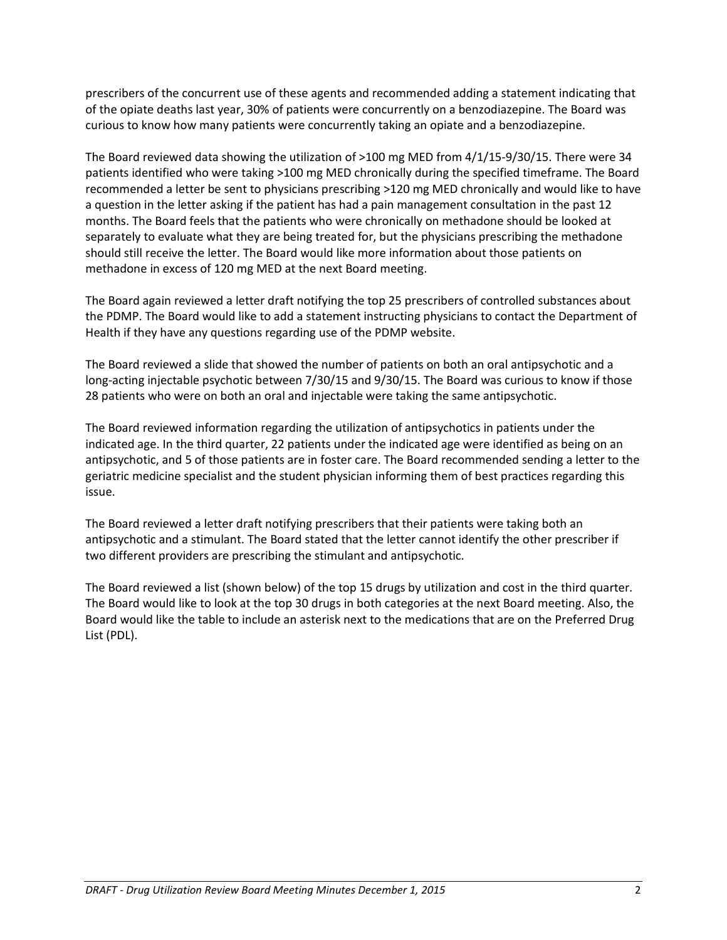prescribers of the concurrent use of these agents and recommended adding a statement indicating that of the opiate deaths last year, 30% of patients were concurrently on a benzodiazepine. The Board was curious to know how many patients were concurrently taking an opiate and a benzodiazepine.

The Board reviewed data showing the utilization of >100 mg MED from 4/1/15-9/30/15. There were 34 patients identified who were taking >100 mg MED chronically during the specified timeframe. The Board recommended a letter be sent to physicians prescribing >120 mg MED chronically and would like to have a question in the letter asking if the patient has had a pain management consultation in the past 12 months. The Board feels that the patients who were chronically on methadone should be looked at separately to evaluate what they are being treated for, but the physicians prescribing the methadone should still receive the letter. The Board would like more information about those patients on methadone in excess of 120 mg MED at the next Board meeting.

The Board again reviewed a letter draft notifying the top 25 prescribers of controlled substances about the PDMP. The Board would like to add a statement instructing physicians to contact the Department of Health if they have any questions regarding use of the PDMP website.

The Board reviewed a slide that showed the number of patients on both an oral antipsychotic and a long-acting injectable psychotic between 7/30/15 and 9/30/15. The Board was curious to know if those 28 patients who were on both an oral and injectable were taking the same antipsychotic.

The Board reviewed information regarding the utilization of antipsychotics in patients under the indicated age. In the third quarter, 22 patients under the indicated age were identified as being on an antipsychotic, and 5 of those patients are in foster care. The Board recommended sending a letter to the geriatric medicine specialist and the student physician informing them of best practices regarding this issue.

The Board reviewed a letter draft notifying prescribers that their patients were taking both an antipsychotic and a stimulant. The Board stated that the letter cannot identify the other prescriber if two different providers are prescribing the stimulant and antipsychotic.

The Board reviewed a list (shown below) of the top 15 drugs by utilization and cost in the third quarter. The Board would like to look at the top 30 drugs in both categories at the next Board meeting. Also, the Board would like the table to include an asterisk next to the medications that are on the Preferred Drug List (PDL).